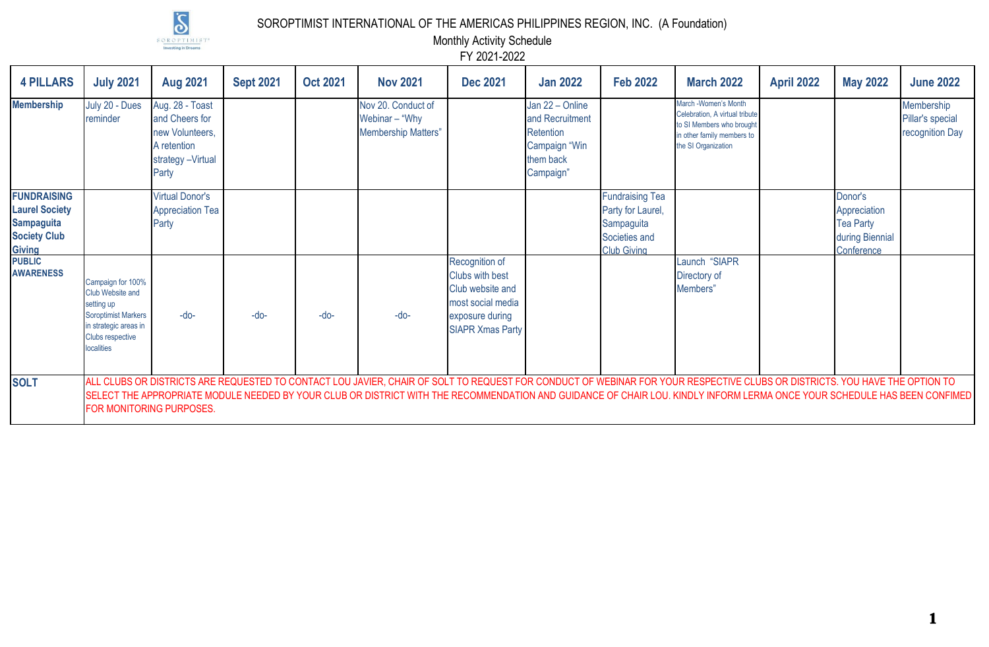

SOROPTIMIST INTERNATIONAL OF THE AMERICAS PHILIPPINES REGION, INC. (A Foundation)

Monthly Activity Schedule

FY 2021-2022

| <b>4 PILLARS</b>                                                                                                   | <b>July 2021</b>                                                                                                                                                  | <b>Aug 2021</b>                                                                                   | <b>Sept 2021</b> | <b>Oct 2021</b> | <b>Nov 2021</b>                                                                                                                                                                                                                                                                                                                                         | <b>Dec 2021</b>                                                                                                          | <b>Jan 2022</b>                                                                            | <b>Feb 2022</b>                                                                                  | <b>March 2022</b>                                                                                                                        | <b>April 2022</b> | <b>May 2022</b>                                                              | <b>June 2022</b>                                  |
|--------------------------------------------------------------------------------------------------------------------|-------------------------------------------------------------------------------------------------------------------------------------------------------------------|---------------------------------------------------------------------------------------------------|------------------|-----------------|---------------------------------------------------------------------------------------------------------------------------------------------------------------------------------------------------------------------------------------------------------------------------------------------------------------------------------------------------------|--------------------------------------------------------------------------------------------------------------------------|--------------------------------------------------------------------------------------------|--------------------------------------------------------------------------------------------------|------------------------------------------------------------------------------------------------------------------------------------------|-------------------|------------------------------------------------------------------------------|---------------------------------------------------|
| <b>Membership</b>                                                                                                  | July 20 - Dues<br>reminder                                                                                                                                        | Aug. 28 - Toast<br>and Cheers for<br>new Volunteers,<br>A retention<br>strategy -Virtual<br>Party |                  |                 | Nov 20. Conduct of<br>Webinar - "Why<br><b>Membership Matters"</b>                                                                                                                                                                                                                                                                                      |                                                                                                                          | Jan 22 - Online<br>and Recruitment<br>Retention<br>Campaign "Win<br>them back<br>Campaign" |                                                                                                  | March -Women's Month<br>Celebration, A virtual tribute<br>to SI Members who brought<br>in other family members to<br>the SI Organization |                   |                                                                              | Membership<br>Pillar's special<br>recognition Day |
| <b>FUNDRAISING</b><br><b>Laurel Society</b><br><b>Sampaguita</b><br><b>Society Club</b><br><b>Giving</b><br>PUBLIC |                                                                                                                                                                   | <b>Virtual Donor's</b><br><b>Appreciation Tea</b><br>Party                                        |                  |                 |                                                                                                                                                                                                                                                                                                                                                         |                                                                                                                          |                                                                                            | <b>Fundraising Tea</b><br>Party for Laurel,<br>Sampaguita<br>Societies and<br><b>Club Givina</b> |                                                                                                                                          |                   | Donor's<br>Appreciation<br><b>Tea Party</b><br>during Biennial<br>Conference |                                                   |
| <b>AWARENESS</b>                                                                                                   | Campaign for 100%<br><b>Club Website and</b><br>setting up<br><b>Soroptimist Markers</b><br>in strategic areas in<br><b>Clubs respective</b><br><b>localities</b> | $-do-$                                                                                            | $-do-$           | $-do-$          | $-do-$                                                                                                                                                                                                                                                                                                                                                  | Recognition of<br>Clubs with best<br>Club website and<br>most social media<br>exposure during<br><b>SIAPR Xmas Party</b> |                                                                                            |                                                                                                  | Launch "SIAPR<br>Directory of<br>Members"                                                                                                |                   |                                                                              |                                                   |
| <b>SOLT</b>                                                                                                        |                                                                                                                                                                   | FOR MONITORING PURPOSES.                                                                          |                  |                 | ALL CLUBS OR DISTRICTS ARE REQUESTED TO CONTACT LOU JAVIER, CHAIR OF SOLT TO REQUEST FOR CONDUCT OF WEBINAR FOR YOUR RESPECTIVE CLUBS OR DISTRICTS. YOU HAVE THE OPTION TO<br>SELECT THE APPROPRIATE MODULE NEEDED BY YOUR CLUB OR DISTRICT WITH THE RECOMMENDATION AND GUIDANCE OF CHAIR LOU. KINDLY INFORM LERMA ONCE YOUR SCHEDULE HAS BEEN CONFIMED |                                                                                                                          |                                                                                            |                                                                                                  |                                                                                                                                          |                   |                                                                              |                                                   |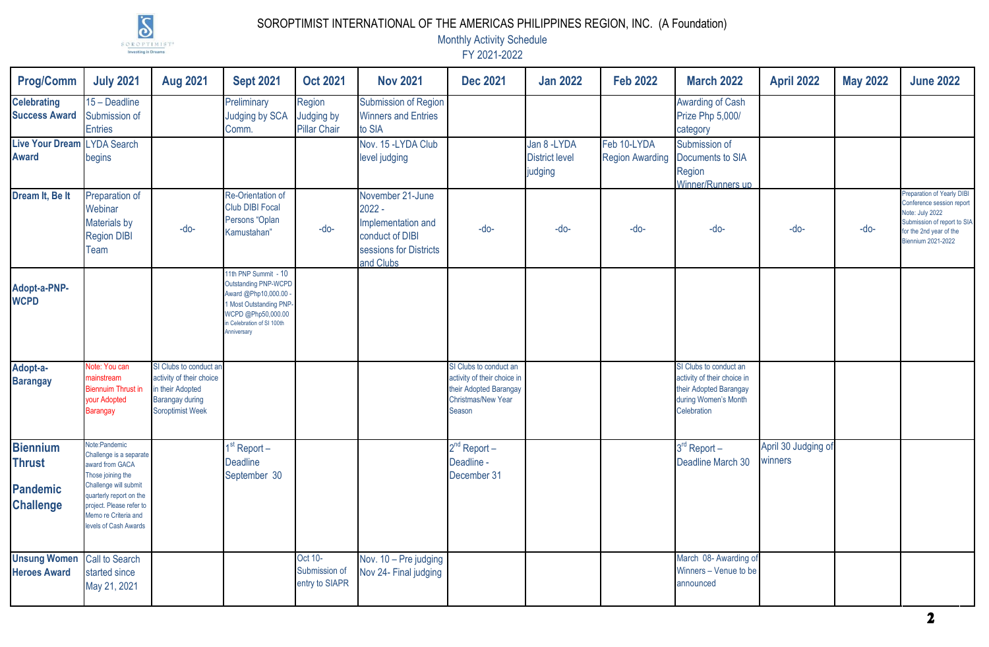

## SOROPTIMIST INTERNATIONAL OF THE AMERICAS PHILIPPINES REGION, INC. (A Foundation)

Monthly Activity Schedule

FY 2021-2022

| <b>Prog/Comm</b>                                                        | <b>July 2021</b>                                                                                                                                                                                                  | <b>Aug 2021</b>                                                                                                      | <b>Sept 2021</b>                                                                                                                                             | <b>Oct 2021</b>                            | <b>Nov 2021</b>                                                                                              | <b>Dec 2021</b>                                                                                                        | <b>Jan 2022</b>                                  | <b>Feb 2022</b>                       | <b>March 2022</b>                                                                                                      | <b>April 2022</b>              | <b>May 2022</b> | <b>June 2022</b>                                                                                                                                                  |
|-------------------------------------------------------------------------|-------------------------------------------------------------------------------------------------------------------------------------------------------------------------------------------------------------------|----------------------------------------------------------------------------------------------------------------------|--------------------------------------------------------------------------------------------------------------------------------------------------------------|--------------------------------------------|--------------------------------------------------------------------------------------------------------------|------------------------------------------------------------------------------------------------------------------------|--------------------------------------------------|---------------------------------------|------------------------------------------------------------------------------------------------------------------------|--------------------------------|-----------------|-------------------------------------------------------------------------------------------------------------------------------------------------------------------|
| <b>Celebrating</b><br><b>Success Award</b>                              | 15 - Deadline<br>Submission of<br><b>Entries</b>                                                                                                                                                                  |                                                                                                                      | Preliminary<br>Judging by SCA<br>Comm.                                                                                                                       | Region<br>Judging by<br>Pillar Chair       | <b>Submission of Region</b><br><b>Winners and Entries</b><br>to SIA                                          |                                                                                                                        |                                                  |                                       | <b>Awarding of Cash</b><br>Prize Php 5,000/<br>category                                                                |                                |                 |                                                                                                                                                                   |
| Live Your Dream LYDA Search<br><b>Award</b>                             | begins                                                                                                                                                                                                            |                                                                                                                      |                                                                                                                                                              |                                            | Nov. 15 - LYDA Club<br>level judging                                                                         |                                                                                                                        | Jan 8 - LYDA<br><b>District level</b><br>judging | Feb 10-LYDA<br><b>Region Awarding</b> | Submission of<br>Documents to SIA<br>Region<br>Winner/Runners up                                                       |                                |                 |                                                                                                                                                                   |
| Dream It, Be It                                                         | Preparation of<br>Webinar<br><b>Materials by</b><br><b>Region DIBI</b><br>Team                                                                                                                                    | $-do-$                                                                                                               | Re-Orientation of<br><b>Club DIBI Focal</b><br>Persons "Oplan<br>Kamustahan"                                                                                 | $-do-$                                     | November 21-June<br>$2022 -$<br>Implementation and<br>conduct of DIBI<br>sessions for Districts<br>and Clubs | $-do-$                                                                                                                 | $-do-$                                           | $-do-$                                | $-do-$                                                                                                                 | -do-                           | $-do-$          | Preparation of Yearly DIBI<br>Conference session report<br>Note: July 2022<br>Submission of report to SIA<br>for the 2nd year of the<br><b>Biennium 2021-2022</b> |
| Adopt-a-PNP-<br><b>WCPD</b>                                             |                                                                                                                                                                                                                   |                                                                                                                      | 11th PNP Summit - 10<br>Outstanding PNP-WCPD<br>Award @Php10,000.00<br>Most Outstanding PNP-<br>VCPD @Php50,000.00<br>Celebration of SI 100th<br>Anniversary |                                            |                                                                                                              |                                                                                                                        |                                                  |                                       |                                                                                                                        |                                |                 |                                                                                                                                                                   |
| Adopt-a-<br><b>Barangay</b>                                             | Note: You can<br>mainstream<br><b>Biennuim Thrust in</b><br>your Adopted<br>Barangay                                                                                                                              | SI Clubs to conduct ar<br>activity of their choice<br>in their Adopted<br><b>Barangay during</b><br>Soroptimist Week |                                                                                                                                                              |                                            |                                                                                                              | SI Clubs to conduct an<br>activity of their choice in<br>their Adopted Barangay<br><b>Christmas/New Year</b><br>Season |                                                  |                                       | SI Clubs to conduct an<br>activity of their choice in<br>their Adopted Barangay<br>during Women's Month<br>Celebration |                                |                 |                                                                                                                                                                   |
| <b>Biennium</b><br><b>Thrust</b><br><b>Pandemic</b><br><b>Challenge</b> | Note:Pandemic<br>Challenge is a separate<br>award from GACA<br>Those joining the<br>Challenge will submit<br>quarterly report on the<br>project. Please refer to<br>Memo re Criteria and<br>levels of Cash Awards |                                                                                                                      | $1st$ Report –<br><b>Deadline</b><br>September 30                                                                                                            |                                            |                                                                                                              | $2nd$ Report $-$<br>Deadline -<br>December 31                                                                          |                                                  |                                       | $3rd$ Report $-$<br>Deadline March 30                                                                                  | April 30 Judging of<br>winners |                 |                                                                                                                                                                   |
| <b>Unsung Women</b><br><b>Heroes Award</b>                              | <b>Call to Search</b><br>started since<br>May 21, 2021                                                                                                                                                            |                                                                                                                      |                                                                                                                                                              | Oct 10-<br>Submission of<br>entry to SIAPR | Nov. 10 - Pre judging<br>Nov 24- Final judging                                                               |                                                                                                                        |                                                  |                                       | March 08- Awarding of<br>Winners - Venue to be<br>announced                                                            |                                |                 |                                                                                                                                                                   |